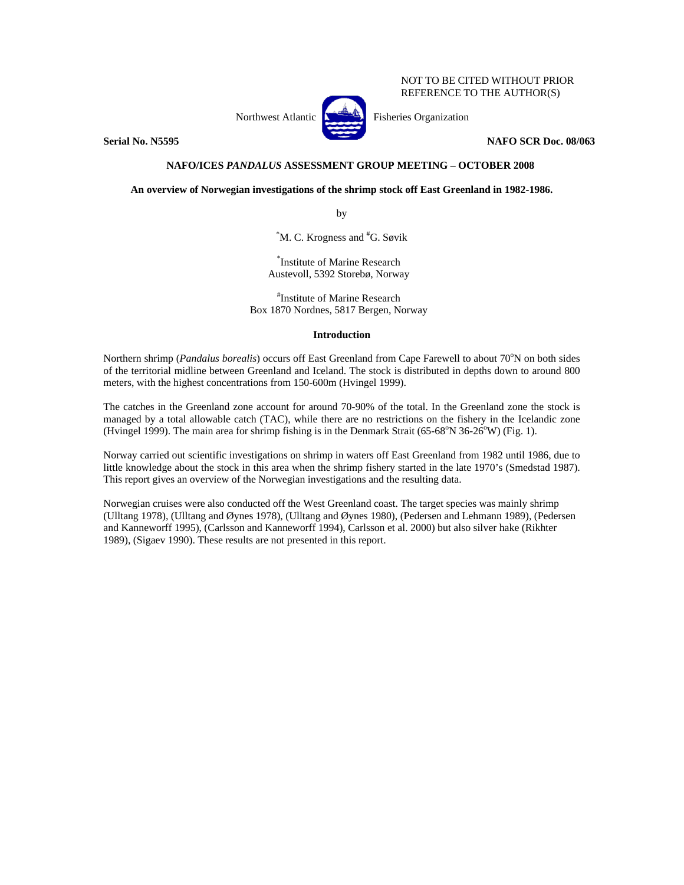NOT TO BE CITED WITHOUT PRIOR REFERENCE TO THE AUTHOR(S)

Northwest Atlantic **No. 3. Fisheries Organization** 

**Serial No. N5595 NAFO SCR Doc. 08/063** 

# **NAFO/ICES** *PANDALUS* **ASSESSMENT GROUP MEETING – OCTOBER 2008**

**An overview of Norwegian investigations of the shrimp stock off East Greenland in 1982-1986.** 

by

\* M. C. Krogness and # G. Søvik

\* Institute of Marine Research Austevoll, 5392 Storebø, Norway

# Institute of Marine Research Box 1870 Nordnes, 5817 Bergen, Norway

# **Introduction**

Northern shrimp (*Pandalus borealis*) occurs off East Greenland from Cape Farewell to about 70°N on both sides of the territorial midline between Greenland and Iceland. The stock is distributed in depths down to around 800 meters, with the highest concentrations from 150-600m (Hvingel 1999).

The catches in the Greenland zone account for around 70-90% of the total. In the Greenland zone the stock is managed by a total allowable catch (TAC), while there are no restrictions on the fishery in the Icelandic zone (Hvingel 1999). The main area for shrimp fishing is in the Denmark Strait (65-68°N 36-26°W) (Fig. 1).

Norway carried out scientific investigations on shrimp in waters off East Greenland from 1982 until 1986, due to little knowledge about the stock in this area when the shrimp fishery started in the late 1970's (Smedstad 1987). This report gives an overview of the Norwegian investigations and the resulting data.

Norwegian cruises were also conducted off the West Greenland coast. The target species was mainly shrimp (Ulltang 1978), (Ulltang and Øynes 1978), (Ulltang and Øynes 1980), (Pedersen and Lehmann 1989), (Pedersen and Kanneworff 1995), (Carlsson and Kanneworff 1994), Carlsson et al. 2000) but also silver hake (Rikhter 1989), (Sigaev 1990). These results are not presented in this report.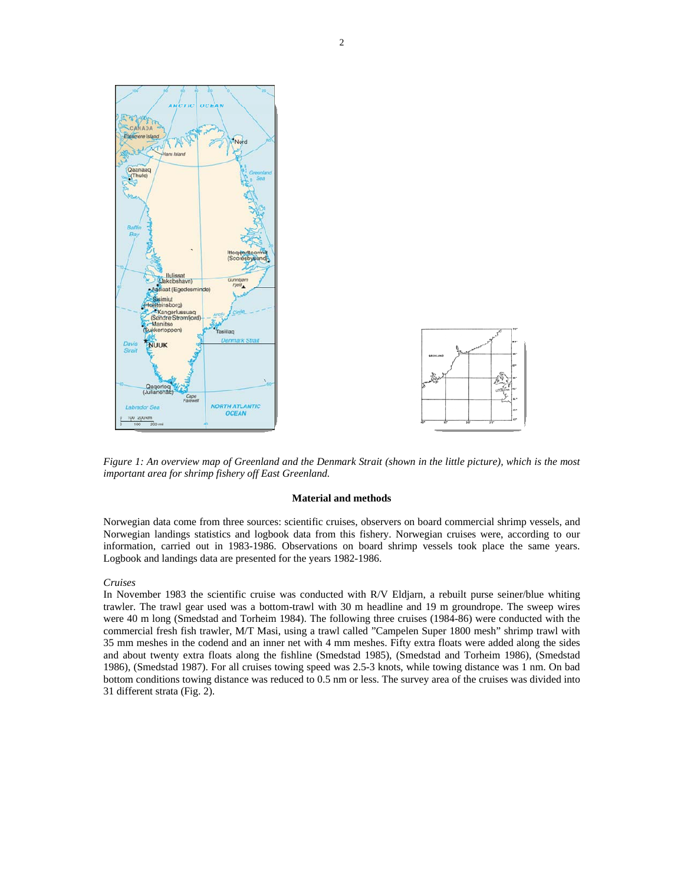

 *Figure 1: An overview map of Greenland and the Denmark Strait (shown in the little picture), which is the most important area for shrimp fishery off East Greenland.* 

### **Material and methods**

Norwegian data come from three sources: scientific cruises, observers on board commercial shrimp vessels, and Norwegian landings statistics and logbook data from this fishery. Norwegian cruises were, according to our information, carried out in 1983-1986. Observations on board shrimp vessels took place the same years. Logbook and landings data are presented for the years 1982-1986.

### *Cruises*

In November 1983 the scientific cruise was conducted with R/V Eldjarn, a rebuilt purse seiner/blue whiting trawler. The trawl gear used was a bottom-trawl with 30 m headline and 19 m groundrope. The sweep wires were 40 m long (Smedstad and Torheim 1984). The following three cruises (1984-86) were conducted with the commercial fresh fish trawler, M/T Masi, using a trawl called "Campelen Super 1800 mesh" shrimp trawl with 35 mm meshes in the codend and an inner net with 4 mm meshes. Fifty extra floats were added along the sides and about twenty extra floats along the fishline (Smedstad 1985), (Smedstad and Torheim 1986), (Smedstad 1986), (Smedstad 1987). For all cruises towing speed was 2.5-3 knots, while towing distance was 1 nm. On bad bottom conditions towing distance was reduced to 0.5 nm or less. The survey area of the cruises was divided into 31 different strata (Fig. 2).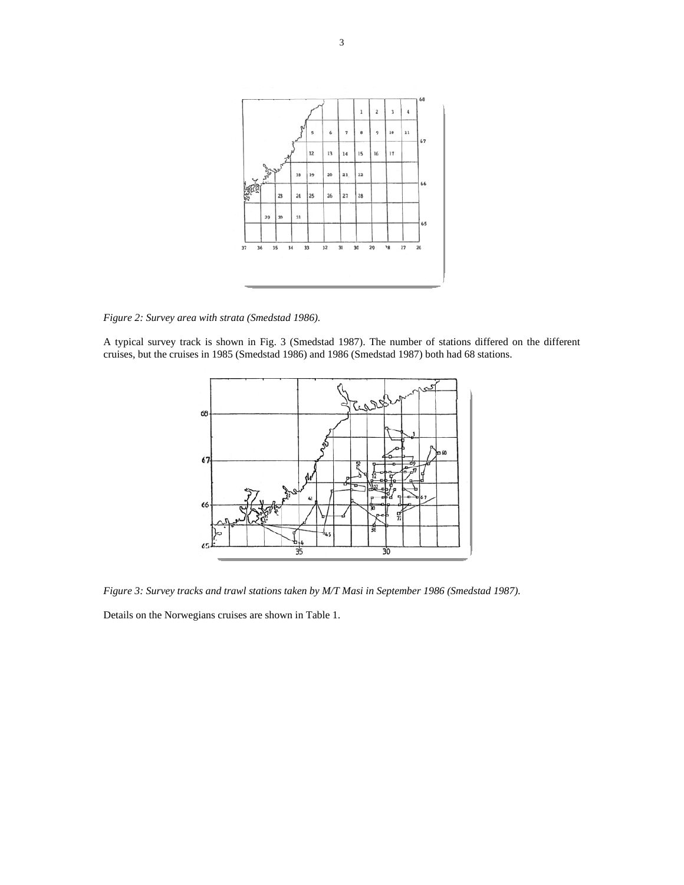

*Figure 2: Survey area with strata (Smedstad 1986).*

A typical survey track is shown in Fig. 3 (Smedstad 1987). The number of stations differed on the different cruises, but the cruises in 1985 (Smedstad 1986) and 1986 (Smedstad 1987) both had 68 stations.



*Figure 3: Survey tracks and trawl stations taken by M/T Masi in September 1986 (Smedstad 1987).* 

Details on the Norwegians cruises are shown in Table 1.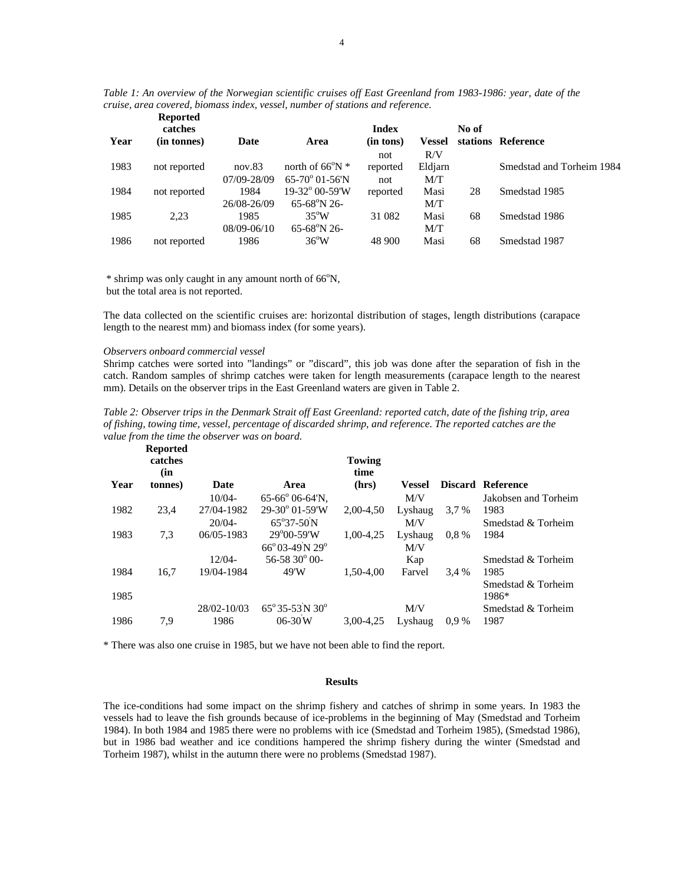| Table 1: An overview of the Norwegian scientific cruises off East Greenland from 1983-1986: year, date of the |  |
|---------------------------------------------------------------------------------------------------------------|--|
| cruise, area covered, biomass index, vessel, number of stations and reference.                                |  |

|      | <b>Reported</b><br>catches |             |                             | <b>Index</b> |               | No of |                           |
|------|----------------------------|-------------|-----------------------------|--------------|---------------|-------|---------------------------|
| Year | (in tonnes)                | Date        | Area                        | (in tons)    | <b>Vessel</b> |       | stations Reference        |
|      |                            |             |                             | not          | R/V           |       |                           |
| 1983 | not reported               | nov.83      | north of $66^{\circ}$ N $*$ | reported     | Eldjarn       |       | Smedstad and Torheim 1984 |
|      |                            | 07/09-28/09 | $65-70^{\circ}$ 01-56'N     | not          | M/T           |       |                           |
| 1984 | not reported               | 1984        | $19-32^{\circ}$ 00-59'W     | reported     | Masi          | 28    | Smedstad 1985             |
|      |                            | 26/08-26/09 | $65-68^{\circ}N26$          |              | M/T           |       |                           |
| 1985 | 2,23                       | 1985        | $35^{\circ}$ W              | 31 082       | Masi          | 68    | Smedstad 1986             |
|      |                            | 08/09-06/10 | 65-68°N 26-                 |              | M/T           |       |                           |
| 1986 | not reported               | 1986        | $36^{\circ}$ W              | 48 900       | Masi          | 68    | Smedstad 1987             |

\* shrimp was only caught in any amount north of 66°N, but the total area is not reported.

The data collected on the scientific cruises are: horizontal distribution of stages, length distributions (carapace length to the nearest mm) and biomass index (for some years).

## *Observers onboard commercial vessel*

Shrimp catches were sorted into "landings" or "discard", this job was done after the separation of fish in the catch. Random samples of shrimp catches were taken for length measurements (carapace length to the nearest mm). Details on the observer trips in the East Greenland waters are given in Table 2.

| Table 2: Observer trips in the Denmark Strait off East Greenland: reported catch, date of the fishing trip, area |
|------------------------------------------------------------------------------------------------------------------|
| of fishing, towing time, vessel, percentage of discarded shrimp, and reference. The reported catches are the     |
| value from the time the observer was on board.                                                                   |
| Donanted.                                                                                                        |

|      | where<br>catches<br>(in |             |                                            | Towing<br>time |         |         |                      |
|------|-------------------------|-------------|--------------------------------------------|----------------|---------|---------|----------------------|
| Year | (tonnes)                | Date        | Area                                       | (hrs)          | Vessel  |         | Discard Reference    |
|      |                         | $10/04 -$   | $65-66^{\circ}$ 06-64'N,                   |                | M/V     |         | Jakobsen and Torheim |
| 1982 | 23,4                    | 27/04-1982  | $29-30^{\circ}$ 01-59'W                    | 2.00-4.50      | Lyshaug | 3.7 %   | 1983                 |
|      |                         | $20/04 -$   | 65°37-50N                                  |                | M/V     |         | Smedstad & Torheim   |
| 1983 | 7.3                     | 06/05-1983  | $29^{\circ}00 - 59^{\circ}W$               | 1.00-4.25      | Lyshaug | $0.8\%$ | 1984                 |
|      |                         |             | $66^{\circ}03-49^{\circ}N$ 29 <sup>°</sup> |                | M/V     |         |                      |
|      |                         | $12/04 -$   | $56-5830^{\circ}$ 00-                      |                | Kap     |         | Smedstad & Torheim   |
| 1984 | 16,7                    | 19/04-1984  | 49'W                                       | 1.50-4.00      | Farvel  | 3.4 %   | 1985                 |
|      |                         |             |                                            |                |         |         | Smedstad & Torheim   |
| 1985 |                         |             |                                            |                |         |         | 1986*                |
|      |                         | 28/02-10/03 | $65^{\circ}35-53\text{ N }30^{\circ}$      |                | M/V     |         | Smedstad & Torheim   |
| 1986 | 7,9                     | 1986        | $06 - 30W$                                 | 3.00-4.25      | Lyshaug | $0.9\%$ | 1987                 |
|      |                         |             |                                            |                |         |         |                      |

\* There was also one cruise in 1985, but we have not been able to find the report.

# **Results**

The ice-conditions had some impact on the shrimp fishery and catches of shrimp in some years. In 1983 the vessels had to leave the fish grounds because of ice-problems in the beginning of May (Smedstad and Torheim 1984). In both 1984 and 1985 there were no problems with ice (Smedstad and Torheim 1985), (Smedstad 1986), but in 1986 bad weather and ice conditions hampered the shrimp fishery during the winter (Smedstad and Torheim 1987), whilst in the autumn there were no problems (Smedstad 1987).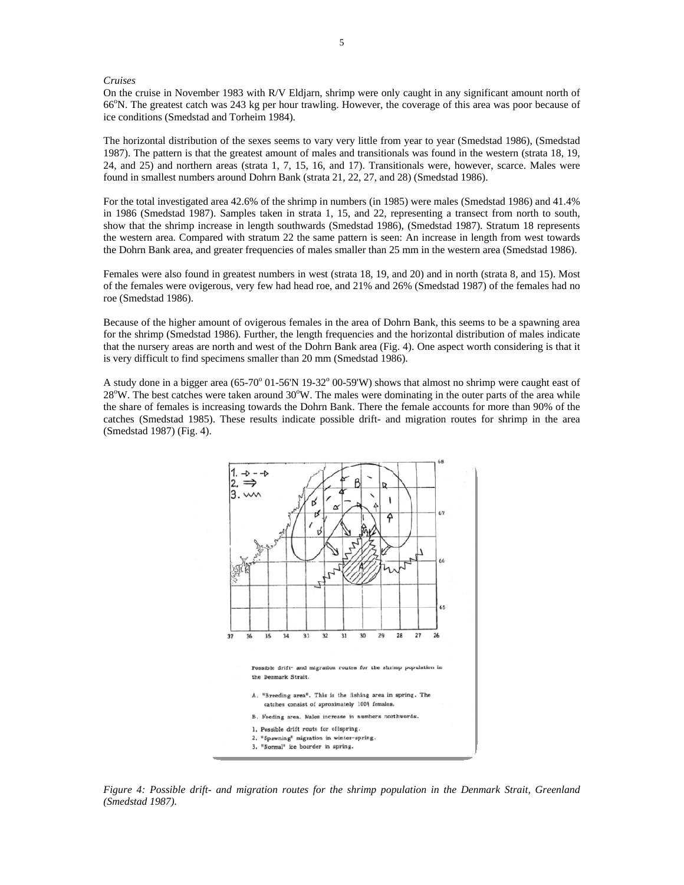### *Cruises*

On the cruise in November 1983 with R/V Eldjarn, shrimp were only caught in any significant amount north of 66°N. The greatest catch was 243 kg per hour trawling. However, the coverage of this area was poor because of ice conditions (Smedstad and Torheim 1984).

The horizontal distribution of the sexes seems to vary very little from year to year (Smedstad 1986), (Smedstad 1987). The pattern is that the greatest amount of males and transitionals was found in the western (strata 18, 19, 24, and 25) and northern areas (strata 1, 7, 15, 16, and 17). Transitionals were, however, scarce. Males were found in smallest numbers around Dohrn Bank (strata 21, 22, 27, and 28) (Smedstad 1986).

For the total investigated area 42.6% of the shrimp in numbers (in 1985) were males (Smedstad 1986) and 41.4% in 1986 (Smedstad 1987). Samples taken in strata 1, 15, and 22, representing a transect from north to south, show that the shrimp increase in length southwards (Smedstad 1986), (Smedstad 1987). Stratum 18 represents the western area. Compared with stratum 22 the same pattern is seen: An increase in length from west towards the Dohrn Bank area, and greater frequencies of males smaller than 25 mm in the western area (Smedstad 1986).

Females were also found in greatest numbers in west (strata 18, 19, and 20) and in north (strata 8, and 15). Most of the females were ovigerous, very few had head roe, and 21% and 26% (Smedstad 1987) of the females had no roe (Smedstad 1986).

Because of the higher amount of ovigerous females in the area of Dohrn Bank, this seems to be a spawning area for the shrimp (Smedstad 1986). Further, the length frequencies and the horizontal distribution of males indicate that the nursery areas are north and west of the Dohrn Bank area (Fig. 4). One aspect worth considering is that it is very difficult to find specimens smaller than 20 mm (Smedstad 1986).

A study done in a bigger area  $(65\text{-}70^{\circ} 01\text{-}56'N 19\text{-}32^{\circ} 00\text{-}59'W)$  shows that almost no shrimp were caught east of 28°W. The best catches were taken around 30°W. The males were dominating in the outer parts of the area while the share of females is increasing towards the Dohrn Bank. There the female accounts for more than 90% of the catches (Smedstad 1985). These results indicate possible drift- and migration routes for shrimp in the area (Smedstad 1987) (Fig. 4).



*Figure 4: Possible drift- and migration routes for the shrimp population in the Denmark Strait, Greenland (Smedstad 1987).*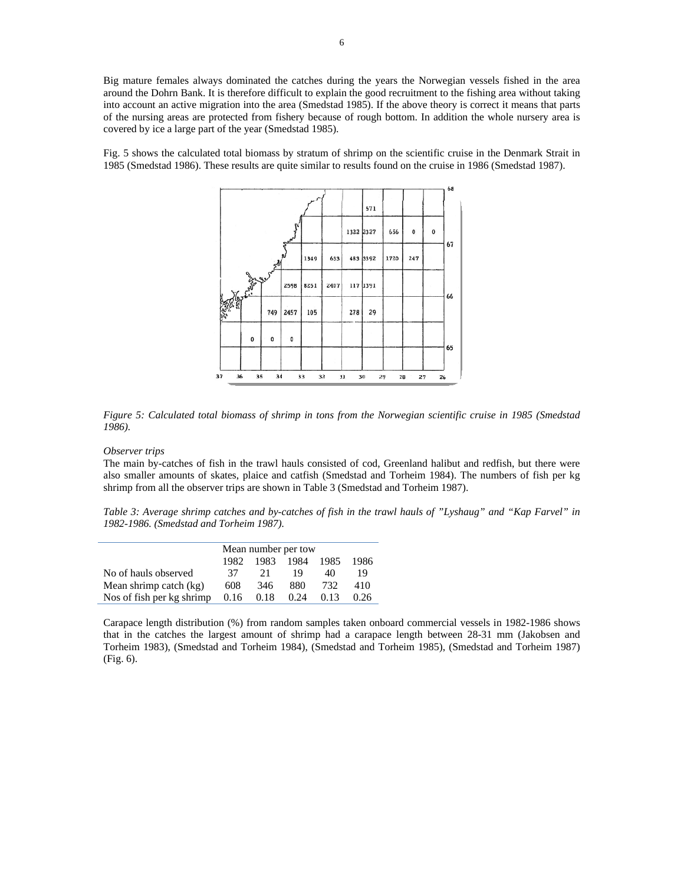Big mature females always dominated the catches during the years the Norwegian vessels fished in the area around the Dohrn Bank. It is therefore difficult to explain the good recruitment to the fishing area without taking into account an active migration into the area (Smedstad 1985). If the above theory is correct it means that parts of the nursing areas are protected from fishery because of rough bottom. In addition the whole nursery area is covered by ice a large part of the year (Smedstad 1985).

Fig. 5 shows the calculated total biomass by stratum of shrimp on the scientific cruise in the Denmark Strait in 1985 (Smedstad 1986). These results are quite similar to results found on the cruise in 1986 (Smedstad 1987).



*Figure 5: Calculated total biomass of shrimp in tons from the Norwegian scientific cruise in 1985 (Smedstad 1986).* 

*Observer trips* 

The main by-catches of fish in the trawl hauls consisted of cod, Greenland halibut and redfish, but there were also smaller amounts of skates, plaice and catfish (Smedstad and Torheim 1984). The numbers of fish per kg shrimp from all the observer trips are shown in Table 3 (Smedstad and Torheim 1987).

*Table 3: Average shrimp catches and by-catches of fish in the trawl hauls of "Lyshaug" and "Kap Farvel" in 1982-1986. (Smedstad and Torheim 1987).* 

|                           | Mean number per tow |      |           |      |      |
|---------------------------|---------------------|------|-----------|------|------|
|                           | 1982.               |      | 1983 1984 | 1985 | 1986 |
| No of hauls observed      | 37                  | 21   | 19        | 40   | 19   |
| Mean shrimp catch (kg)    | 608                 | 346  | 880       | 732  | 410  |
| Nos of fish per kg shrimp | 0.16                | 0.18 | 0.24      | 0.13 | 0.26 |

Carapace length distribution (%) from random samples taken onboard commercial vessels in 1982-1986 shows that in the catches the largest amount of shrimp had a carapace length between 28-31 mm (Jakobsen and Torheim 1983), (Smedstad and Torheim 1984), (Smedstad and Torheim 1985), (Smedstad and Torheim 1987) (Fig. 6).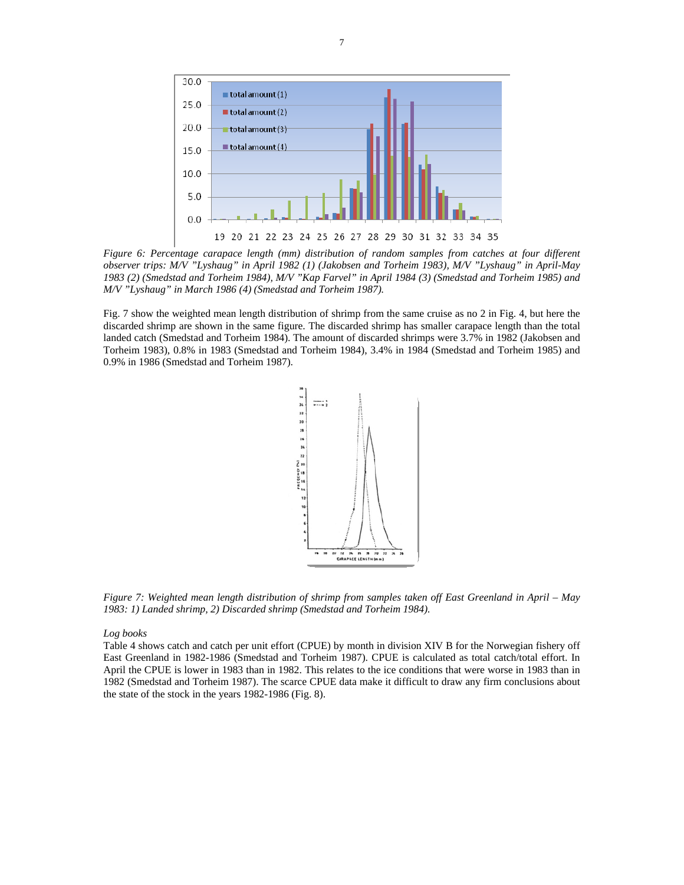

*Figure 6: Percentage carapace length (mm) distribution of random samples from catches at four different observer trips: M/V "Lyshaug" in April 1982 (1) (Jakobsen and Torheim 1983), M/V "Lyshaug" in April-May 1983 (2) (Smedstad and Torheim 1984), M/V "Kap Farvel" in April 1984 (3) (Smedstad and Torheim 1985) and M/V "Lyshaug" in March 1986 (4) (Smedstad and Torheim 1987).* 

Fig. 7 show the weighted mean length distribution of shrimp from the same cruise as no 2 in Fig. 4, but here the discarded shrimp are shown in the same figure. The discarded shrimp has smaller carapace length than the total landed catch (Smedstad and Torheim 1984). The amount of discarded shrimps were 3.7% in 1982 (Jakobsen and Torheim 1983), 0.8% in 1983 (Smedstad and Torheim 1984), 3.4% in 1984 (Smedstad and Torheim 1985) and 0.9% in 1986 (Smedstad and Torheim 1987).



*Figure 7: Weighted mean length distribution of shrimp from samples taken off East Greenland in April – May 1983: 1) Landed shrimp, 2) Discarded shrimp (Smedstad and Torheim 1984).* 

### *Log books*

Table 4 shows catch and catch per unit effort (CPUE) by month in division XIV B for the Norwegian fishery off East Greenland in 1982-1986 (Smedstad and Torheim 1987). CPUE is calculated as total catch/total effort. In April the CPUE is lower in 1983 than in 1982. This relates to the ice conditions that were worse in 1983 than in 1982 (Smedstad and Torheim 1987). The scarce CPUE data make it difficult to draw any firm conclusions about the state of the stock in the years 1982-1986 (Fig. 8).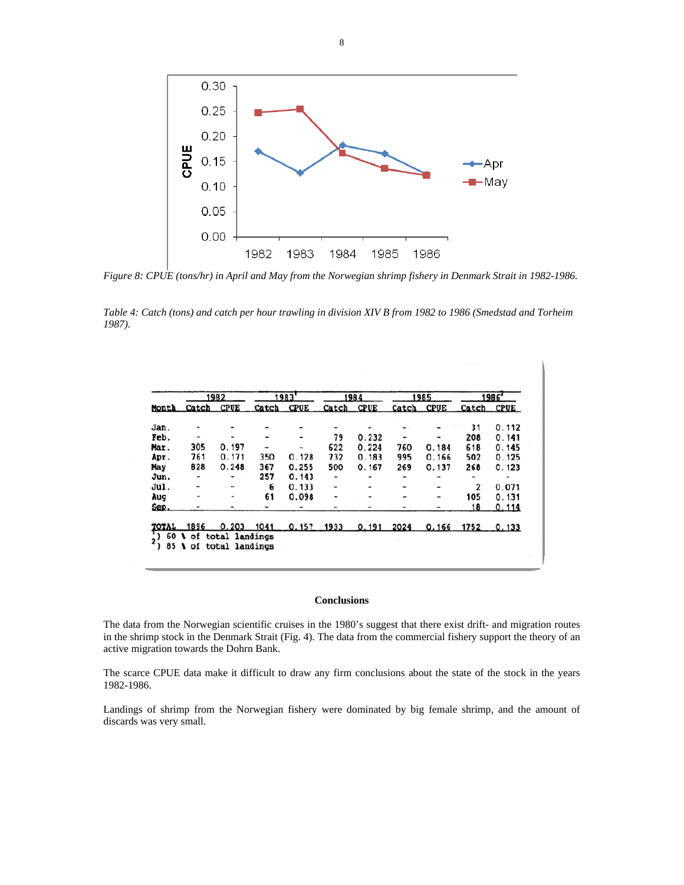

*Figure 8: CPUE (tons/hr) in April and May from the Norwegian shrimp fishery in Denmark Strait in 1982-1986.* 

*Table 4: Catch (tons) and catch per hour trawling in division XIV B from 1982 to 1986 (Smedstad and Torheim 1987).* 

| Month | 1982  |             | 1983           |             | 1984  |             | 1985         |             | 1986  |             |
|-------|-------|-------------|----------------|-------------|-------|-------------|--------------|-------------|-------|-------------|
|       | Catch | <b>CPUE</b> | Catch          | <b>CPUE</b> | Catch | <b>CPUE</b> | <b>Catch</b> | <b>CPUE</b> | Catch | <b>CPUE</b> |
| Jan.  |       |             |                |             |       |             |              |             | 31    | 0.112       |
| Feb.  | ×     |             |                |             | 79    | 0.232       | ٠            |             | 208   | 0.141       |
| Mar.  | 305   | 0.197       | $\overline{a}$ |             | 622   | 0.224       | 760          | 0.184       | 618   | 0.145       |
| Apr.  | 761   | 0.171       | 350            | 0.128       | 732   | 0.183       | 995          | 0.166       | 502   | 0.125       |
| May   | 828   | 0.248       | 367            | 0.255       | 500   | 0.167       | 269          | 0.137       | 268   | 0.123       |
| Jun.  |       |             | 257            | 0.143       | -     |             | ٠            |             |       |             |
| Jul.  |       | ۰.          | 6              | 0.133       | ۰     |             | -            |             | 2     | 0.071       |
| Aug   | ۰     | ۰           | 61             | 0.098       | -     |             | ÷            |             | 105   | 0.131       |
| Sep.  |       | -           |                |             |       |             |              |             | 18    | 0.114       |
|       | 1896  | 0.203       | 1041           | 0.157       | 1933  | 0.191       | 2024         | 0.166       | 1752  | 0.133       |

## **Conclusions**

The data from the Norwegian scientific cruises in the 1980's suggest that there exist drift- and migration routes in the shrimp stock in the Denmark Strait (Fig. 4). The data from the commercial fishery support the theory of an active migration towards the Dohrn Bank.

The scarce CPUE data make it difficult to draw any firm conclusions about the state of the stock in the years 1982-1986.

Landings of shrimp from the Norwegian fishery were dominated by big female shrimp, and the amount of discards was very small.